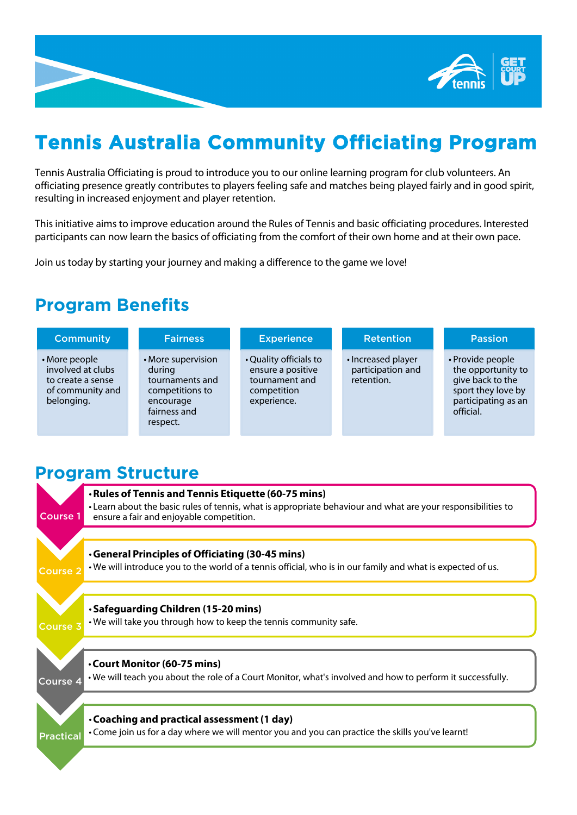

# **Tennis Australia Community Officiating Program**

Tennis Australia Officiating is proud to introduce you to our online learning program for club volunteers. An officiating presence greatly contributes to players feeling safe and matches being played fairly and in good spirit, resulting in increased enjoyment and player retention.

This initiative aims to improve education around the Rules of Tennis and basic officiating procedures. Interested participants can now learn the basics of officiating from the comfort of their own home and at their own pace.

Join us today by starting your journey and making a difference to the game we love!

### **Program Benefits**

| <b>Community</b>                                                                          | <b>Fairness</b>                                                                                             | <b>Experience</b>                                                                           | <b>Retention</b>                                      | <b>Passion</b>                                                                                                       |
|-------------------------------------------------------------------------------------------|-------------------------------------------------------------------------------------------------------------|---------------------------------------------------------------------------------------------|-------------------------------------------------------|----------------------------------------------------------------------------------------------------------------------|
| • More people<br>involved at clubs<br>to create a sense<br>of community and<br>belonging. | • More supervision<br>during<br>tournaments and<br>competitions to<br>encourage<br>fairness and<br>respect. | • Quality officials to<br>ensure a positive<br>tournament and<br>competition<br>experience. | • Increased player<br>participation and<br>retention. | • Provide people<br>the opportunity to<br>give back to the<br>sport they love by<br>participating as an<br>official. |

### **Program Structure**